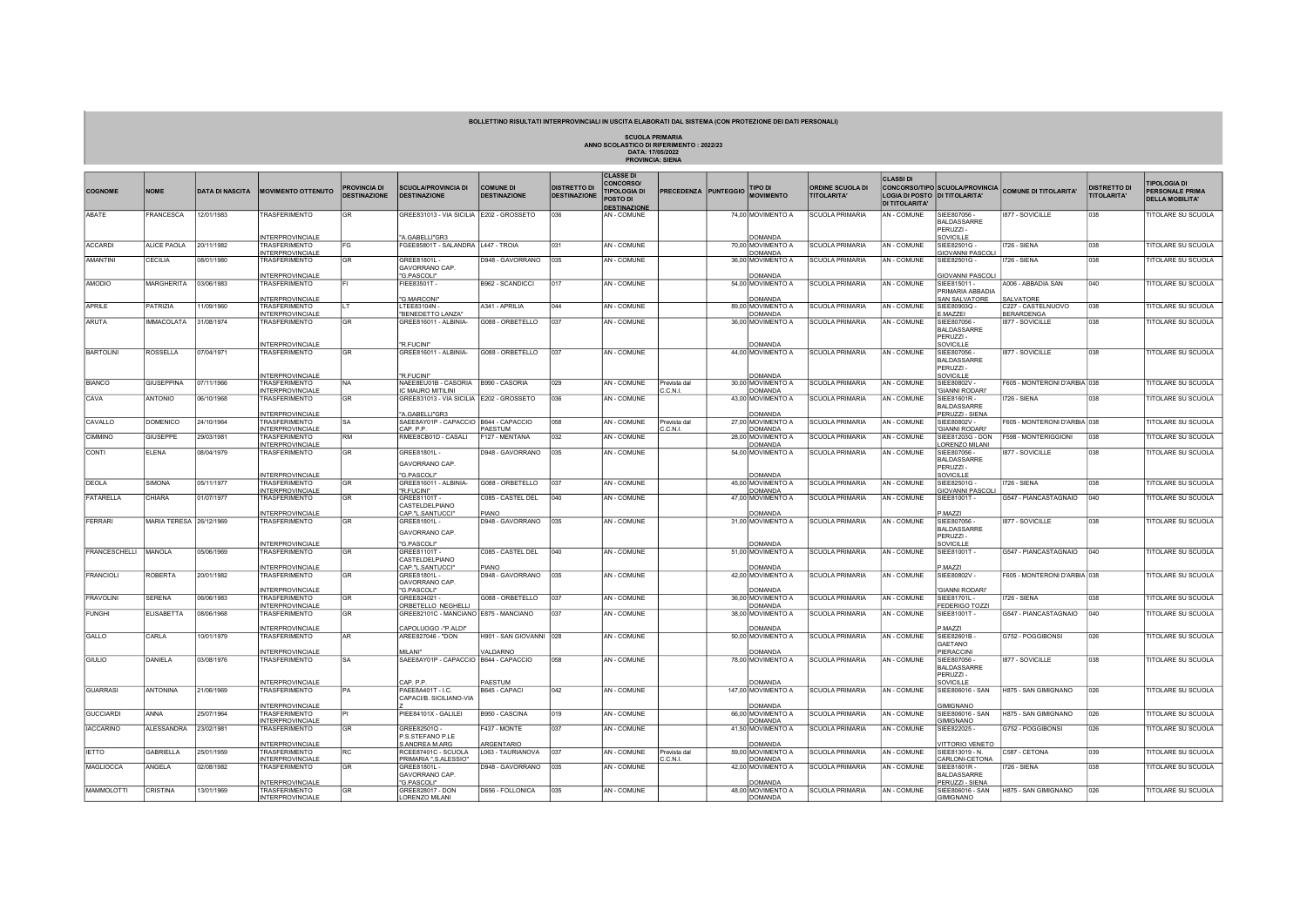## BOLLETTINO RISULTATI INTERPROVINCIALI IN USCITA ELABORATI DAL SISTEMA (CON PROTEZIONE DEI DATI PERSONALI)

SCUOLA PRIMARIA<br>ANNO SCOLASTICO DI RIFERIMENTO : 2022/23<br>DATA: 17/05/2022<br>PROVINCIA: SIENA

|                        |                         |                        |                                          |                     |                                          |                         |                     | <b>CLASSE DI</b>    |                             |                                     |                         | <b>CLASSI DI</b>      |                                        |                              |                     |                                  |
|------------------------|-------------------------|------------------------|------------------------------------------|---------------------|------------------------------------------|-------------------------|---------------------|---------------------|-----------------------------|-------------------------------------|-------------------------|-----------------------|----------------------------------------|------------------------------|---------------------|----------------------------------|
|                        |                         |                        |                                          | <b>PROVINCIA DI</b> | <b>SCUOLA/PROVINCIA DI</b>               | <b>COMUNE DI</b>        | <b>DISTRETTO DI</b> | <b>CONCORSO/</b>    |                             | TIPO DI                             | <b>ORDINE SCUOLA DI</b> |                       | <b>CONCORSO/TIPO SCUOLA/PROVINCIA</b>  |                              | <b>DISTRETTO DI</b> | <b>TIPOLOGIA DI</b>              |
| <b>COGNOME</b>         | <b>NOME</b>             | <b>DATA DI NASCITA</b> | <b>MOVIMENTO OTTENUTO</b>                | <b>DESTINAZIONE</b> | <b>DESTINAZIONE</b>                      | <b>DESTINAZIONE</b>     | <b>DESTINAZIONE</b> | <b>TIPOLOGIA DI</b> | <b>PRECEDENZA PUNTEGGIO</b> | <b>MOVIMENTO</b>                    | <b>TITOLARITA'</b>      |                       | LOGIA DI POSTO DI TITOLARITA'          | COMUNE DI TITOLARITA'        | <b>TITOLARITA'</b>  | <b>PERSONALE PRIMA</b>           |
|                        |                         |                        |                                          |                     |                                          |                         |                     | <b>POSTO DI</b>     |                             |                                     |                         | <b>DI TITOLARITA'</b> |                                        |                              |                     | <b>DELLA MOBILITA'</b>           |
|                        |                         |                        |                                          |                     |                                          |                         |                     | <b>DESTINAZIONE</b> |                             |                                     |                         |                       |                                        |                              |                     |                                  |
| ABATE                  | <b>RANCESCA</b>         | 12/01/1983             | <b>RASFERIMENTO</b>                      | <b>GR</b>           | GREE831013 - VIA SICILIA E202 - GROSSETO |                         | 036                 | AN - COMUNE         |                             | 74,00 MOVIMENTO A                   | <b>SCUOLA PRIMARIA</b>  | AN - COMUNE           | SIFF807056                             | 1877 - SOVICILLE             | 038                 | TITOLARE SU SCUOLA               |
|                        |                         |                        |                                          |                     |                                          |                         |                     |                     |                             |                                     |                         |                       | <b>BALDASSARRE</b>                     |                              |                     |                                  |
|                        |                         |                        |                                          |                     |                                          |                         |                     |                     |                             |                                     |                         |                       | PERUZZI-                               |                              |                     |                                  |
|                        |                         |                        | NTERPROVINCIALE                          |                     | 'A.GABELLI"GR3                           |                         |                     |                     |                             | <b>OMANDA</b>                       |                         |                       | <b>OVICILLE</b>                        |                              |                     |                                  |
| <b>ACCARDI</b>         | ALICE PAOLA             | 20/11/1982             | TRASFERIMENTO                            | lFG.                | FGEE85801T - SALANDRA   L447 - TROIA     |                         | 031                 | AN - COMUNE         |                             | 70,00 MOVIMENTO A                   | <b>SCUOLA PRIMARIA</b>  | AN - COMUNE           | SIEE82501G                             | 1726 - SIENA                 | 038                 | TITOLARE SU SCUOLA               |
| <b>AMANTINI</b>        | CECILIA                 | 08/01/1980             | <b>INTERPROVINCIALE</b><br>TRASFERIMENTO | l GR                | GREE81801L-                              | D948 - GAVORRANO        | 035                 | AN - COMUNE         |                             | <b>DOMANDA</b><br>36,00 MOVIMENTO A | <b>SCUOLA PRIMARIA</b>  | <b>AN-COMUNE</b>      | <b>GIOVANNI PASCOL</b><br>SIEE82501G - | 1726 - SIFNA                 | 038                 | TITOLARE SU SCUOLA               |
|                        |                         |                        |                                          |                     | GAVORRANO CAP.                           |                         |                     |                     |                             |                                     |                         |                       |                                        |                              |                     |                                  |
|                        |                         |                        | <b>NTERPROVINCIALE</b>                   |                     | "G.PASCOLI"                              |                         |                     |                     |                             | OMANDA                              |                         |                       |                                        |                              |                     |                                  |
| AMODIO                 | <b>MARGHERITA</b>       | 03/06/1983             | TRASFERIMENTO                            |                     | FIEE83501T -                             | B962 - SCANDICCI        | 017                 | AN - COMUNE         |                             | 54,00 MOVIMENTO A                   | SCUOLA PRIMARIA         | AN - COMUNE           | <b>GIOVANNI PASCO</b><br>SIEE815011 -  | A006 - ABBADIA SAN           | 040                 | TITOLARE SU SCUOLA               |
|                        |                         |                        |                                          |                     |                                          |                         |                     |                     |                             |                                     |                         |                       | PRIMARIA ABBADIA                       |                              |                     |                                  |
|                        |                         |                        | INTERPROVINCIALE                         |                     | "G.MARCONI"                              |                         |                     |                     |                             | DOMANDA                             |                         |                       | SAN SALVATORE                          | SALVATORE                    |                     |                                  |
| APRILE                 | PATRIZIA                | 1/09/1960              | TRASFERIMENTO                            |                     | LTEE83104N-                              | A341 - APRILIA          | 044                 | AN - COMUNE         |                             | 89,00 MOVIMENTO A                   | <b>SCUOLA PRIMARIA</b>  | AN - COMUNE           | SIEE80903Q -                           | C227 - CASTELNUOVO           | 038                 | TITOLARE SU SCUOLA               |
|                        |                         |                        | <b>INTERPROVINCIALE</b>                  |                     | "BENEDETTO LANZA"                        |                         |                     |                     |                             | <b>DOMANDA</b>                      |                         |                       | .MAZZEI                                | <b>BERARDENGA</b>            |                     |                                  |
| ARUTA                  | <b>IMMACOLATA</b>       | 31/08/1974             | TRASFERIMENTO                            | GR                  | GREE816011 - ALBINIA-                    | G088 - ORBETELLO        | 037                 | AN - COMUNE         |                             | 36,00 MOVIMENTO A                   | <b>SCUOLA PRIMARIA</b>  | AN - COMUNE           | SIEE807056-                            | 1877 - SOVICILLE             | 038                 | TITOLARE SU SCUOLA               |
|                        |                         |                        |                                          |                     |                                          |                         |                     |                     |                             |                                     |                         |                       | BALDASSARRE                            |                              |                     |                                  |
|                        |                         |                        |                                          |                     |                                          |                         |                     |                     |                             |                                     |                         |                       | PERUZZI-                               |                              |                     |                                  |
|                        |                         |                        | <b>INTERPROVINCIALE</b>                  |                     | "R.FUCINI"                               |                         |                     |                     |                             | DOMANDA                             |                         |                       | SOVICILLE                              |                              |                     |                                  |
| <b>BARTOLINI</b>       | <b>ROSSELLA</b>         | 07/04/1971             | <b>TRASFERIMENTO</b>                     | <b>GR</b>           | GREE816011 - ALBINIA-                    | G088 - ORBETELLO        | 037                 | AN - COMUNE         |                             | 44,00 MOVIMENTO A                   | <b>SCUOLA PRIMARIA</b>  | AN - COMUNE           | SIEE807056                             | I877 - SOVICILLE             | 038                 | <b>TITOLARE SU SCUOLA</b>        |
|                        |                         |                        |                                          |                     |                                          |                         |                     |                     |                             |                                     |                         |                       | <b>BALDASSARRE</b>                     |                              |                     |                                  |
|                        |                         |                        |                                          |                     |                                          |                         |                     |                     |                             |                                     |                         |                       | PERUZZI-                               |                              |                     |                                  |
|                        |                         |                        | <b>INTERPROVINCIALE</b>                  |                     | "R ELICINI"                              |                         |                     |                     |                             | DOMANDA                             |                         |                       | SOVICILLE                              |                              |                     |                                  |
| <b>BIANCO</b>          | <b>GIUSEPPINA</b>       | 07/11/1966             | TRASFERIMENTO                            | INA.                | NAEE8EU01B - CASORIA   B990 - CASORIA    |                         | 029                 | AN - COMUNE         | Prevista dal                | 30,00 MOVIMENTO A                   | <b>SCUOLA PRIMARIA</b>  | AN - COMUNE           | SIEE80802V                             | F605 - MONTERONI D'ARBIA 038 |                     | <b>TITOLARE SU SCUOLA</b>        |
|                        |                         |                        | INTERPROVINCIALE                         |                     | IC MAURO MITILINI                        |                         |                     |                     | 0.C.N.I.                    | DOMANDA                             |                         |                       | <b>GIANNI RODARI'</b>                  |                              |                     |                                  |
| CAVA                   | <b>ANTONIO</b>          | 06/10/1968             | <b>TRASFERIMENTO</b>                     | lgr                 | GREE831013 - VIA SICILIA E202 - GROSSETO |                         | 036                 | AN - COMUNE         |                             | 43,00 MOVIMENTO A                   | <b>SCUOLA PRIMARIA</b>  | AN - COMUNE           | SIEE81601R-                            | I726 - SIENA                 | 038                 | <b>TITOLARE SU SCUOLA</b>        |
|                        |                         |                        |                                          |                     |                                          |                         |                     |                     |                             |                                     |                         |                       | BALDASSARRE                            |                              |                     |                                  |
|                        |                         |                        | <b>INTERPROVINCIALE</b>                  |                     | "A.GABELLI"GR3                           |                         |                     |                     |                             | <b>DOMANDA</b>                      |                         |                       | PERUZZI - SIENA                        |                              |                     |                                  |
| CAVALLO                | <b>DOMENICO</b>         | 24/10/1964             | <b>TRASFERIMENTO</b>                     | lsa                 | SAEE8AY01P - CAPACCIO   B644 - CAPACCIO  |                         | 058                 | AN - COMUNE         | Prevista dal                | 27,00 MOVIMENTO A                   | <b>SCUOLA PRIMARIA</b>  | AN - COMUNE           | SIEE80802V -                           | F605 - MONTERONI D'ARBIA 038 |                     | <b>TITOLARE SU SCUOLA</b>        |
|                        |                         |                        | <b>INTERPROVINCIALE</b>                  |                     | CAP <sub>PP</sub>                        | PAESTUM                 |                     |                     | C.C.N.I.                    | <b>DOMANDA</b>                      |                         |                       | <b>GIANNI RODARI</b>                   |                              |                     |                                  |
| <b>CIMMINO</b>         | GIUSEPPE                | 29/03/1981             | TRASFERIMENTO                            | RM                  | RMEE8CB01D - CASALI                      | 127 - MENTANA           | 032                 | AN - COMUNE         |                             | 28,00 MOVIMENTO A                   | <b>SCUOLA PRIMARIA</b>  | AN - COMUNE           | SIEE81203G - DON                       | F598 - MONTERIGGIONI         | 038                 | TITOLARE SU SCUOLA               |
|                        |                         |                        | NTERPROVINCIALE                          |                     |                                          |                         |                     |                     |                             | DOMANDA                             |                         |                       | ORENZO MILANI                          |                              |                     |                                  |
| CONTI                  | <b>ELENA</b>            | 08/04/1979             | TRASFERIMENTO                            | GR                  | GREE81801L-                              | D948 - GAVORRANO        | 035                 | AN - COMUNE         |                             | 54,00 MOVIMENTO A                   | <b>SCUOLA PRIMARIA</b>  | AN - COMUNE           | SIEE807056-                            | 1877 - SOVICILLE             | 038                 | TITOLARE SU SCUOLA               |
|                        |                         |                        |                                          |                     | GAVORRANO CAP.                           |                         |                     |                     |                             |                                     |                         |                       | BALDASSARRE                            |                              |                     |                                  |
|                        |                         |                        |                                          |                     |                                          |                         |                     |                     |                             |                                     |                         |                       | PERUZZI-                               |                              |                     |                                  |
|                        |                         |                        | <b>INTERPROVINCIALE</b>                  |                     | "G.PASCOLI"                              |                         |                     |                     |                             | DOMANDA                             |                         |                       | SOVICILLE                              |                              |                     |                                  |
| DEOLA                  | SIMONA                  | 05/11/1977             | TRASFERIMENTO                            | lGR.                | GREE816011 - ALBINIA-<br>"R.FUCINI"      | G088 - ORBETELLO        | 037                 | AN - COMUNE         |                             | 45,00 MOVIMENTO A                   | <b>SCUOLA PRIMARIA</b>  | AN - COMUNE           | SIEE82501G                             | I726 - SIENA                 | 038                 | <b><i>TITOLARE SU SCUOLA</i></b> |
| FATARELLA              |                         |                        | <b>INTERPROVINCIAL</b>                   | <b>GR</b>           |                                          |                         | 040                 |                     |                             | DOMANDA                             |                         |                       | <b>IOVANNI PASCOL</b>                  |                              | 040                 |                                  |
|                        | CHIARA                  | 01/07/1977             | <b>TRASFERIMENTO</b>                     |                     | GREE81101T -<br>CASTELDELPIANO           | C085 - CASTEL DEL       |                     | AN - COMUNE         |                             | 47,00 MOVIMENTO A                   | <b>SCUOLA PRIMARIA</b>  | AN - COMUNE           | SIEE81001T-                            | G547 - PIANCASTAGNAIO        |                     | <b>TITOLARE SU SCUOLA</b>        |
|                        |                         |                        | <b>INTERPROVINCIALE</b>                  |                     | CAP."L.SANTUCCI"                         | PIANO                   |                     |                     |                             | <b>DOMANDA</b>                      |                         |                       | MAZZI                                  |                              |                     |                                  |
| <b>FERRARI</b>         | MARIA TERESA 26/12/1969 |                        | <b>TRASFERIMENTO</b>                     | <b>GR</b>           | GREE81801L -                             | D948 - GAVORRANO        | 035                 | AN - COMUNE         |                             | 31,00 MOVIMENTO A                   | <b>SCUOLA PRIMARIA</b>  | AN - COMUNE           | SIEE807056-                            | 1877 - SOVICILLE             | 038                 | <b>TITOLARE SU SCUOLA</b>        |
|                        |                         |                        |                                          |                     |                                          |                         |                     |                     |                             |                                     |                         |                       | BALDASSARRE                            |                              |                     |                                  |
|                        |                         |                        |                                          |                     | GAVORRANO CAP.                           |                         |                     |                     |                             |                                     |                         |                       | PERUZZI-                               |                              |                     |                                  |
|                        |                         |                        | <b>INTERPROVINCIALE</b>                  |                     | "G.PASCOLI"                              |                         |                     |                     |                             | DOMANDA                             |                         |                       | SOVICILLE                              |                              |                     |                                  |
| FRANCESCHELLI   MANOLA |                         | 05/06/1969             | TRASFERIMENTO                            | l GR                | GREE81101T-                              | C085 - CASTEL DEL       | 040                 | AN - COMUNE         |                             | 51,00 MOVIMENTO A                   | <b>SCUOLA PRIMARIA</b>  | AN - COMUNE           | SIEE81001T-                            | G547 - PIANCASTAGNAIO        | 040                 | TITOLARE SU SCUOLA               |
|                        |                         |                        |                                          |                     | CASTELDELPIANO                           |                         |                     |                     |                             |                                     |                         |                       |                                        |                              |                     |                                  |
|                        |                         |                        | NTERPROVINCIALE                          |                     | CAP."L.SANTUCCI"                         | PIANO                   |                     |                     |                             | <b>OMANDA</b>                       |                         |                       | .MAZZI                                 |                              |                     |                                  |
| <b>FRANCIOLI</b>       | <b>ROBERTA</b>          | 20/01/1982             | TRASFERIMENTO                            | l GR                | GREE81801L -                             | D948 - GAVORRANO        | 1035                | AN - COMUNE         |                             | 42,00 MOVIMENTO A                   | <b>SCUOLA PRIMARIA</b>  | AN - COMUNE           | SIEE80802V -                           | F605 - MONTERONI D'ARBIA 038 |                     | TITOLARE SU SCUOLA               |
|                        |                         |                        |                                          |                     | GAVORRANO CAP.                           |                         |                     |                     |                             |                                     |                         |                       |                                        |                              |                     |                                  |
|                        |                         |                        | <b>INTERPROVINCIALE</b>                  |                     | "G.PASCOLI"                              |                         |                     |                     |                             | <b>DOMANDA</b>                      |                         |                       | <b>GIANNI RODARI'</b>                  |                              |                     |                                  |
| <b>FRAVOLINI</b>       | SERENA                  | 06/06/1983             | TRASFERIMENTO                            | <b>IGR</b>          | GREE824021                               | G088 - ORBETELLO        | 037                 | AN - COMUNE         |                             | 36,00 MOVIMENTO A                   | <b>SCUOLA PRIMARIA</b>  | AN - COMUNE           | SIEE81701L-                            | 1726 - SIENA                 | 038                 | <b>TITOLARE SU SCUOLA</b>        |
|                        |                         |                        | NTERPROVINCIALI                          |                     | ORBETELLO NEGHELLI                       |                         |                     |                     |                             | DOMANDA                             |                         |                       | <b>EDERIGO TOZZI</b>                   |                              |                     |                                  |
| <b>FUNGHI</b>          | <b>ELISABETTA</b>       | 08/06/1968             | TRASFERIMENTO                            | l GR                | GREE82101C - MANCIANO E875 - MANCIANO    |                         |                     | AN - COMUNE         |                             | 38,00 MOVIMENTO A                   | <b>SCUOLA PRIMARIA</b>  | AN - COMUNE           | SIEE81001T-                            | G547 - PIANCASTAGNAIO        | 040                 | <b>TITOLARE SU SCUOLA</b>        |
|                        |                         |                        |                                          |                     |                                          |                         |                     |                     |                             |                                     |                         |                       |                                        |                              |                     |                                  |
|                        |                         |                        | NTERPROVINCIALE                          |                     | CAPOLUOGO -"P.ALDI"                      |                         |                     |                     |                             | DOMANDA                             |                         |                       | MAZZI.                                 |                              |                     |                                  |
| GALLO                  | CARLA                   | 10/01/1979             | TRASFERIMENTO                            | <b>AR</b>           | AREE827046 - "DON                        | H901 - SAN GIOVANNI     | 028                 | AN - COMUNE         |                             | 50,00 MOVIMENTO A                   | <b>SCUOLA PRIMARIA</b>  | AN - COMUNE           | SIEE82601B-                            | G752 - POGGIBONSI            | 026                 | TITOLARE SU SCUOLA               |
|                        |                         |                        |                                          |                     |                                          |                         |                     |                     |                             |                                     |                         |                       | GAETANO                                |                              |                     |                                  |
|                        |                         |                        | NTERPROVINCIALE                          |                     | MII ANI <sup>-</sup>                     | <b>/ALDARNO</b>         |                     |                     |                             | COMANDA                             |                         |                       | PIERACCINI                             |                              |                     |                                  |
| GIULIO                 | DANIELA                 | 03/08/1976             | TRASFERIMENTO                            | ISA.                | SAEE8AY01P - CAPACCIO   B644 - CAPACCIO  |                         | 058                 | AN - COMUNE         |                             | 78,00 MOVIMENTO A                   | <b>SCUOLA PRIMARIA</b>  | AN - COMUNE           | SIEE807056-                            | 1877 - SOVICILLE             | 038                 | TITOLARE SU SCUOLA               |
|                        |                         |                        |                                          |                     |                                          |                         |                     |                     |                             |                                     |                         |                       | BALDASSARRE                            |                              |                     |                                  |
|                        |                         |                        |                                          |                     |                                          |                         |                     |                     |                             |                                     |                         |                       | PERUZZI-                               |                              |                     |                                  |
|                        |                         |                        | NTERPROVINCIALE                          |                     | CAP P P<br>PAEE8A401T - I.C.             | PAESTUM                 | 042                 |                     |                             | DOMANDA                             |                         |                       | SOVICILLE                              |                              | 026                 | <b>TITOLARE SU SCUOLA</b>        |
| <b>GUARRASI</b>        | <b>ANTONINA</b>         | 21/06/1969             | <b>TRASFERIMENTO</b>                     |                     | CAPACI/B. SICILIANO-VIA                  | B645 - CAPACI           |                     | AN - COMUNE         |                             | 147,00 MOVIMENTO A                  | <b>SCUOLA PRIMARIA</b>  | AN - COMUNE           | SIEE806016 - SAN                       | H875 - SAN GIMIGNANO         |                     |                                  |
|                        |                         |                        |                                          |                     |                                          |                         |                     |                     |                             |                                     |                         |                       |                                        |                              |                     |                                  |
| <b>GUCCIARDI</b>       | ANNA                    | 25/07/1964             | NTERPROVINCIALE<br>TRASFERIMENTO         |                     |                                          | B950 - CASCINA          | 019                 |                     |                             | <b>OMANDA</b>                       | SCUOLA PRIMARIA         |                       | <b>IMIGNANO</b>                        |                              | 026                 |                                  |
|                        |                         |                        | <b>INTERPROVINCIALE</b>                  |                     | PIEE84101X - GALILEI                     |                         |                     | AN - COMUNE         |                             | 66,00 MOVIMENTO A<br><b>DOMANDA</b> |                         | AN - COMUNE           | SIEE806016 - SAN<br><b>GIMIGNANO</b>   | H875 - SAN GIMIGNANO         |                     | TITOLARE SU SCUOLA               |
| <b>IACCARINO</b>       | <b>ALESSANDRA</b>       | 23/02/1981             |                                          | l GR                |                                          | F437 - MONTE            | 037                 | AN - COMUNE         |                             |                                     | <b>SCUOLA PRIMARIA</b>  | AN - COMUNE           |                                        |                              | 026                 | TITOLARE SU SCUOLA               |
|                        |                         |                        | TRASFERIMENTO                            |                     | GREE82501Q -<br>P.S.STEFANO P.LE         |                         |                     |                     |                             | 41,50 MOVIMENTO A                   |                         |                       | SIEE822025-                            | G752 - POGGIBONSI            |                     |                                  |
|                        |                         |                        | NTERPROVINCIALE                          |                     | S.ANDREA M.ARG                           | <b><i>RGENTARIO</i></b> |                     |                     |                             | NANDA                               |                         |                       | <b>ITTORIO VENETO</b>                  |                              |                     |                                  |
| <b>IETTO</b>           | GABRIELLA               | 25/01/1959             | <b>TRASFERIMENTO</b>                     | <b>IRC</b>          | RCEE87401C - SCUOLA                      | L063 - TAURIANOVA       | 0.37                | AN - COMUNE         | Prevista dal                | 59,00 MOVIMENTO A                   | <b>SCUOLA PRIMARIA</b>  | AN - COMUNE           | SIEE813019 - N.                        | C587 - CETONA                | 039                 | TITOI ARE SU SCUOLA              |
|                        |                         |                        | <b>INTERPROVINCIALE</b>                  |                     | PRIMARIA ".S.ALESSIO"                    |                         |                     |                     | C.C.N.I.                    | <b>DOMANDA</b>                      |                         |                       | CARLONI-CETONA                         |                              |                     |                                  |
| MAGLIOCCA              | ANGELA                  | 02/08/1982             | TRASFERIMENTO                            | l GR                | GREE81801L-                              | D948 - GAVORRANO        | 035                 | AN - COMUNE         |                             | 42,00 MOVIMENTO A                   | <b>SCUOLA PRIMARIA</b>  | AN - COMUNE           | SIEE81601R-                            | I726 - SIENA                 | 038                 | TITOI ARE SU SCUOLA              |
|                        |                         |                        |                                          |                     | GAVORRANO CAP.                           |                         |                     |                     |                             |                                     |                         |                       | BALDASSARRE                            |                              |                     |                                  |
|                        |                         |                        | NTERPROVINCIALI                          |                     | "G.PASCOLI"                              |                         |                     |                     |                             | <b>OMANDA</b>                       |                         |                       | <b>ERUZZI - SIENA</b>                  |                              |                     |                                  |
| MAMMOLOTTI             | CRISTINA                | 13/01/1969             | TRASFERIMENTO                            | l GR                | GREE828017 - DON                         | D656 - FOLLONICA        | 035                 | AN - COMUNE         |                             | 48,00 MOVIMENTO A                   | <b>SCUOLA PRIMARIA</b>  | AN - COMUNE           | SIEE806016 - SAN                       | H875 - SAN GIMIGNANO         | 026                 | TITOLARE SU SCUOLA               |
|                        |                         |                        | INTERPROVINCIALE                         |                     | LORENZO MILANI                           |                         |                     |                     |                             | DOMANDA                             |                         |                       | GIMIGNANO                              |                              |                     |                                  |
|                        |                         |                        |                                          |                     |                                          |                         |                     |                     |                             |                                     |                         |                       |                                        |                              |                     |                                  |